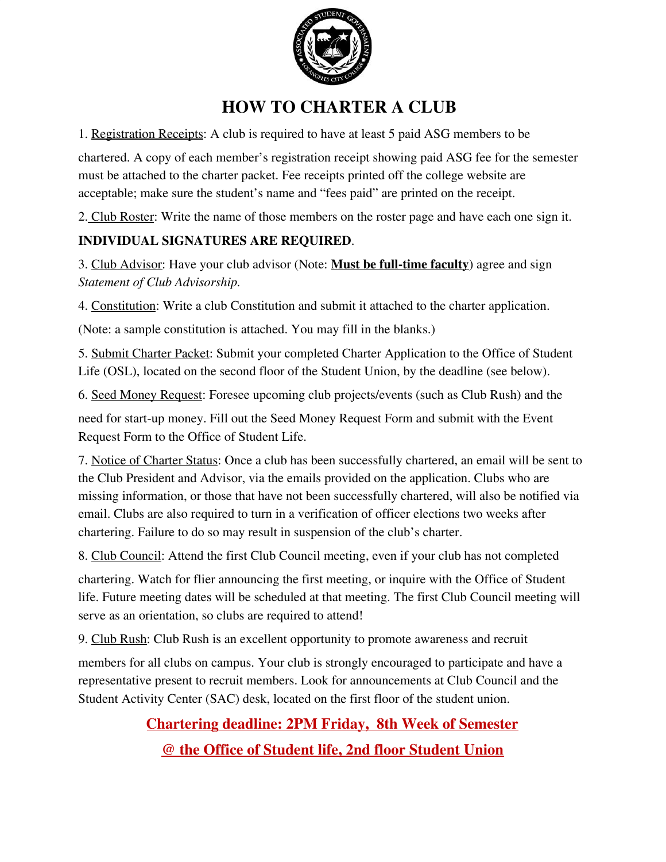

# **HOW TO CHARTER A CLUB**

1. Registration Receipts: A club is required to have at least 5 paid ASG members to be

chartered. A copy of each member's registration receipt showing paid ASG fee for the semester must be attached to the charter packet. Fee receipts printed off the college website are acceptable; make sure the student's name and "fees paid" are printed on the receipt.

2. Club Roster: Write the name of those members on the roster page and have each one sign it.

### **INDIVIDUAL SIGNATURES ARE REQUIRED**.

3. Club Advisor: Have your club advisor (Note: **Must be full-time faculty**) agree and sign *Statement of Club Advisorship.*

4. Constitution: Write a club Constitution and submit it attached to the charter application.

(Note: a sample constitution is attached. You may fill in the blanks.)

5. Submit Charter Packet: Submit your completed Charter Application to the Office of Student Life (OSL), located on the second floor of the Student Union, by the deadline (see below).

6. Seed Money Request: Foresee upcoming club projects/events (such as Club Rush) and the

need for start-up money. Fill out the Seed Money Request Form and submit with the Event Request Form to the Office of Student Life.

7. Notice of Charter Status: Once a club has been successfully chartered, an email will be sent to the Club President and Advisor, via the emails provided on the application. Clubs who are missing information, or those that have not been successfully chartered, will also be notified via email. Clubs are also required to turn in a verification of officer elections two weeks after chartering. Failure to do so may result in suspension of the club's charter.

8. Club Council: Attend the first Club Council meeting, even if your club has not completed

chartering. Watch for flier announcing the first meeting, or inquire with the Office of Student life. Future meeting dates will be scheduled at that meeting. The first Club Council meeting will serve as an orientation, so clubs are required to attend!

9. Club Rush: Club Rush is an excellent opportunity to promote awareness and recruit

members for all clubs on campus. Your club is strongly encouraged to participate and have a representative present to recruit members. Look for announcements at Club Council and the Student Activity Center (SAC) desk, located on the first floor of the student union.

**Chartering deadline: 2PM Friday, 8th Week of Semester**

**@ the Office of Student life, 2nd floor Student Union**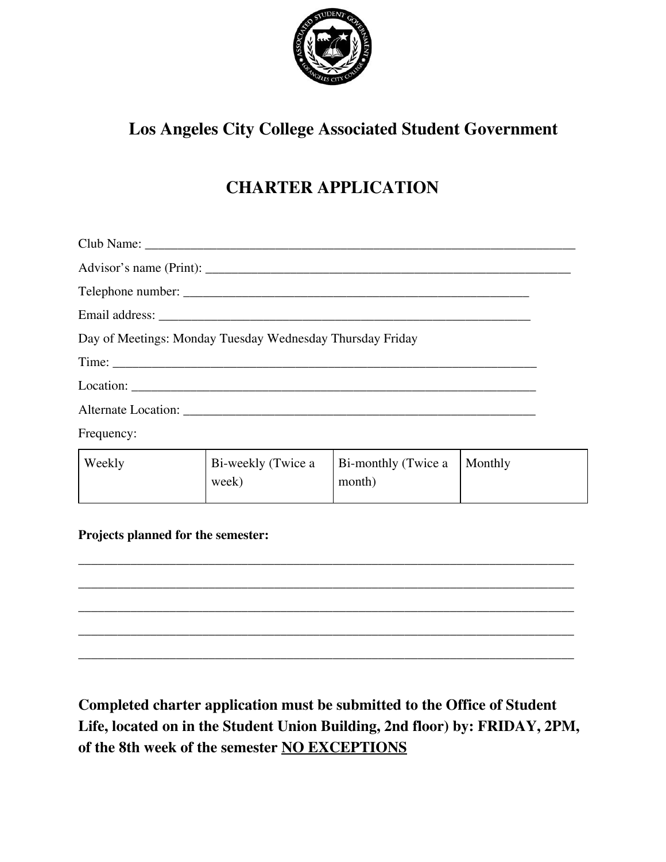

# **Los Angeles City College Associated Student Government**

# **CHARTER APPLICATION**

| Day of Meetings: Monday Tuesday Wednesday Thursday Friday |  |
|-----------------------------------------------------------|--|
|                                                           |  |
|                                                           |  |
|                                                           |  |
|                                                           |  |

Frequency:

| Weekly | Bi-weekly (Twice a | Bi-monthly (Twice a   Monthly |  |
|--------|--------------------|-------------------------------|--|
|        | week)              | month)                        |  |
|        |                    |                               |  |

**Projects planned for the semester:**



**Completed charter application must be submitted to the Office of Student Life, located on in the Student Union Building, 2nd floor) by: FRIDAY, 2PM, of the 8th week of the semester NO EXCEPTIONS**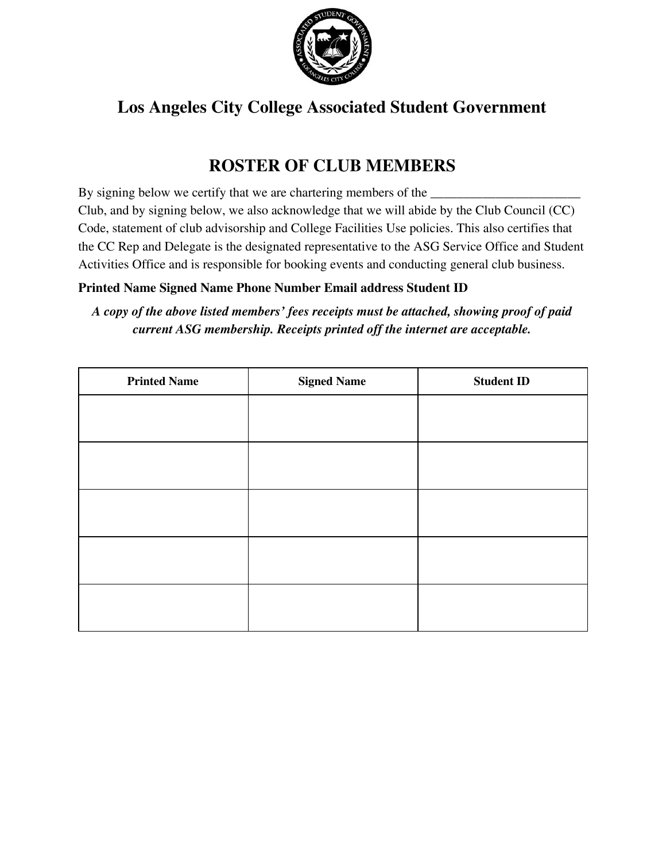

# **Los Angeles City College Associated Student Government**

# **ROSTER OF CLUB MEMBERS**

By signing below we certify that we are chartering members of the Club, and by signing below, we also acknowledge that we will abide by the Club Council (CC) Code, statement of club advisorship and College Facilities Use policies. This also certifies that the CC Rep and Delegate is the designated representative to the ASG Service Office and Student Activities Office and is responsible for booking events and conducting general club business.

### **Printed Name Signed Name Phone Number Email address Student ID**

*A copy of the above listed members' fees receipts must be attached, showing proof of paid current ASG membership. Receipts printed off the internet are acceptable.*

| <b>Printed Name</b> | <b>Signed Name</b> | <b>Student ID</b> |
|---------------------|--------------------|-------------------|
|                     |                    |                   |
|                     |                    |                   |
|                     |                    |                   |
|                     |                    |                   |
|                     |                    |                   |
|                     |                    |                   |
|                     |                    |                   |
|                     |                    |                   |
|                     |                    |                   |
|                     |                    |                   |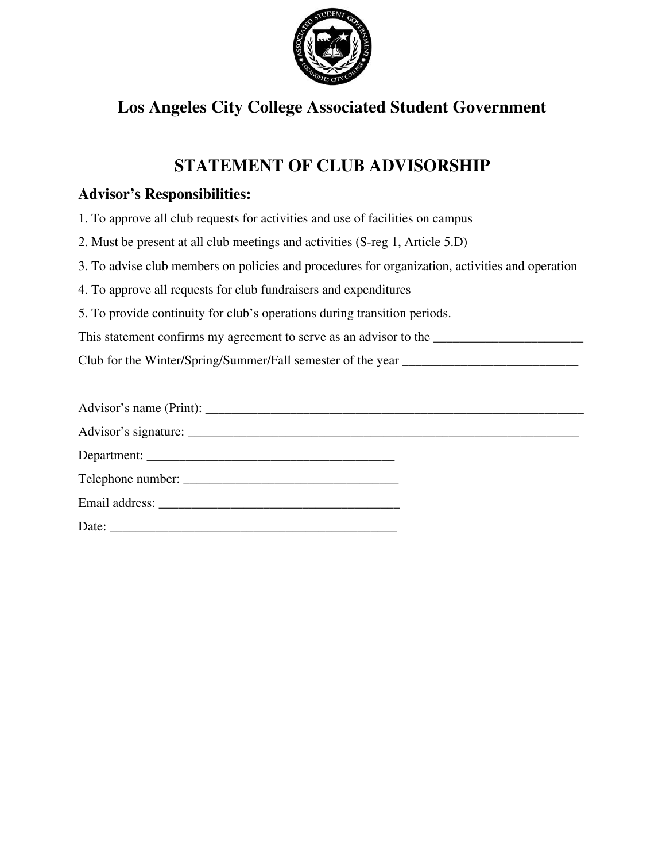

### **Los Angeles City College Associated Student Government**

### **STATEMENT OF CLUB ADVISORSHIP**

### **Advisor's Responsibilities:**

- 1. To approve all club requests for activities and use of facilities on campus
- 2. Must be present at all club meetings and activities (S-reg 1, Article 5.D)
- 3. To advise club members on policies and procedures for organization, activities and operation
- 4. To approve all requests for club fundraisers and expenditures
- 5. To provide continuity for club's operations during transition periods.

This statement confirms my agreement to serve as an advisor to the \_\_\_\_\_\_\_\_\_\_\_\_\_\_\_\_\_\_\_\_\_\_\_

Club for the Winter/Spring/Summer/Fall semester of the year \_\_\_\_\_\_\_\_\_\_\_\_\_\_\_\_\_\_\_\_\_\_\_\_\_\_\_